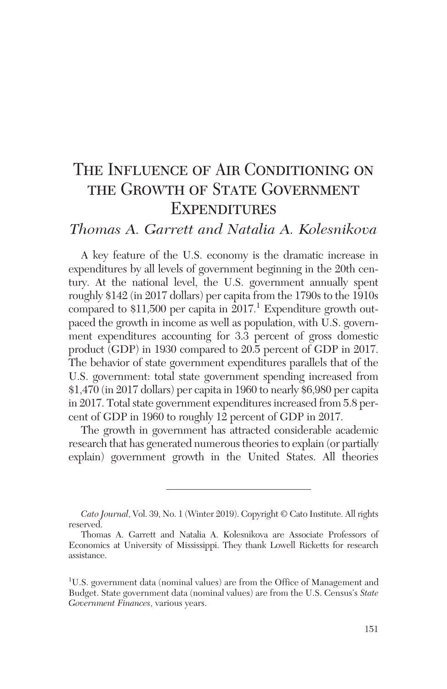# THE INFLUENCE OF AIR CONDITIONING ON the Growth of State Government **EXPENDITURES**

## *Thomas A. Garrett and Natalia A. Kolesnikova*

A key feature of the U.S. economy is the dramatic increase in expenditures by all levels of government beginning in the 20th century. At the national level, the U.S. government annually spent roughly \$142 (in 2017 dollars) per capita from the 1790s to the 1910s compared to  $$11,500$  per capita in  $2017$ .<sup>1</sup> Expenditure growth outpaced the growth in income as well as population, with U.S. government expenditures accounting for 3.3 percent of gross domestic product (GDP) in 1930 compared to 20.5 percent of GDP in 2017. The behavior of state government expenditures parallels that of the U.S. government: total state government spending increased from \$1,470 (in 2017 dollars) per capita in 1960 to nearly \$6,980 per capita in 2017. Total state government expenditures increased from 5.8 percent of GDP in 1960 to roughly 12 percent of GDP in 2017.

The growth in government has attracted considerable academic research that has generated numerous theories to explain (or partially explain) government growth in the United States. All theories

*Cato Journal*, Vol. 39, No. 1 (Winter 2019). Copyright © Cato Institute. All rights reserved.

Thomas A. Garrett and Natalia A. Kolesnikova are Associate Professors of Economics at University of Mississippi. They thank Lowell Ricketts for research assistance.

<sup>1</sup> U.S. government data (nominal values) are from the Office of Management and Budget. State government data (nominal values) are from the U.S. Census's *State Government Finances*, various years.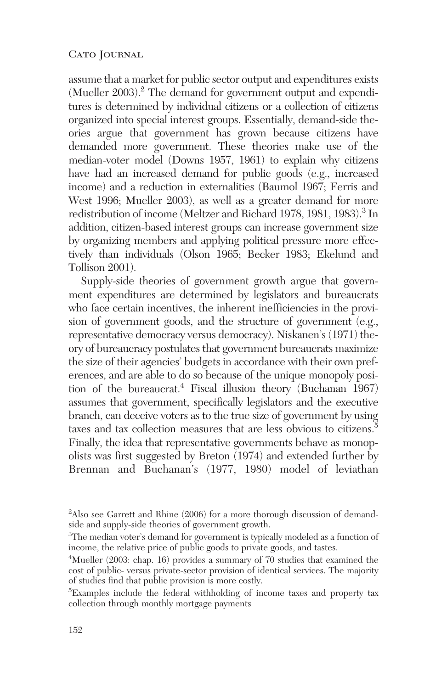assume that a market for public sector output and expenditures exists (Mueller 2003).<sup>2</sup> The demand for government output and expenditures is determined by individual citizens or a collection of citizens organized into special interest groups. Essentially, demand-side theories argue that government has grown because citizens have demanded more government. These theories make use of the median-voter model (Downs 1957, 1961) to explain why citizens have had an increased demand for public goods (e.g., increased income) and a reduction in externalities (Baumol 1967; Ferris and West 1996; Mueller 2003), as well as a greater demand for more redistribution of income (Meltzer and Richard 1978, 1981, 1983).<sup>3</sup> In addition, citizen-based interest groups can increase government size by organizing members and applying political pressure more effectively than individuals (Olson 1965; Becker 1983; Ekelund and Tollison 2001).

Supply-side theories of government growth argue that government expenditures are determined by legislators and bureaucrats who face certain incentives, the inherent inefficiencies in the provision of government goods, and the structure of government (e.g., representative democracy versus democracy). Niskanen's (1971) theory of bureaucracy postulates that government bureaucrats maximize the size of their agencies' budgets in accordance with their own preferences, and are able to do so because of the unique monopoly position of the bureaucrat.<sup>4</sup> Fiscal illusion theory (Buchanan 1967) assumes that government, specifically legislators and the executive branch, can deceive voters as to the true size of government by using taxes and tax collection measures that are less obvious to citizens.<sup>5</sup> Finally, the idea that representative governments behave as monopolists was first suggested by Breton  $(1974)$  and extended further by Brennan and Buchanan's (1977, 1980) model of leviathan

<sup>&</sup>lt;sup>2</sup>Also see Garrett and Rhine (2006) for a more thorough discussion of demandside and supply-side theories of government growth.

<sup>&</sup>lt;sup>3</sup>The median voter's demand for government is typically modeled as a function of income, the relative price of public goods to private goods, and tastes.

<sup>4</sup> Mueller (2003: chap. 16) provides a summary of 70 studies that examined the cost of public- versus private-sector provision of identical services. The majority of studies find that public provision is more costly.

<sup>5</sup> Examples include the federal withholding of income taxes and property tax collection through monthly mortgage payments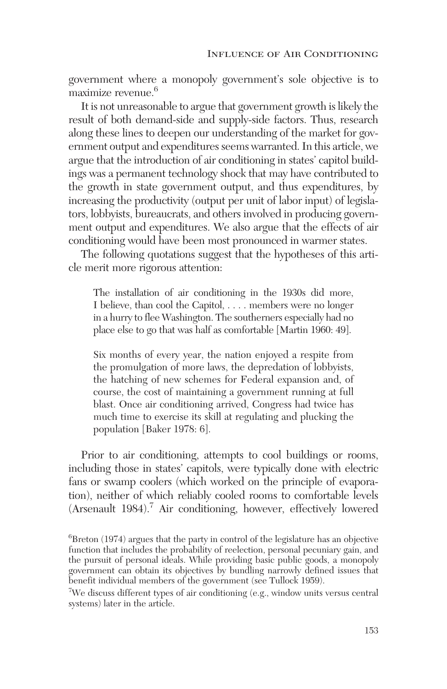government where a monopoly government's sole objective is to maximize revenue.<sup>6</sup>

It is not unreasonable to argue that government growth is likely the result of both demand-side and supply-side factors. Thus, research along these lines to deepen our understanding of the market for government output and expenditures seems warranted. In this article, we argue that the introduction of air conditioning in states' capitol buildings was a permanent technology shock that may have contributed to the growth in state government output, and thus expenditures, by increasing the productivity (output per unit of labor input) of legislators, lobbyists, bureaucrats, and others involved in producing government output and expenditures. We also argue that the effects of air conditioning would have been most pronounced in warmer states.

The following quotations suggest that the hypotheses of this article merit more rigorous attention:

The installation of air conditioning in the 1930s did more, I believe, than cool the Capitol, . . . . members were no longer in a hurry to flee Washington. The southerners especially had no place else to go that was half as comfortable [Martin 1960: 49].

Six months of every year, the nation enjoyed a respite from the promulgation of more laws, the depredation of lobbyists, the hatching of new schemes for Federal expansion and, of course, the cost of maintaining a government running at full blast. Once air conditioning arrived, Congress had twice has much time to exercise its skill at regulating and plucking the population [Baker 1978: 6].

Prior to air conditioning, attempts to cool buildings or rooms, including those in states' capitols, were typically done with electric fans or swamp coolers (which worked on the principle of evaporation), neither of which reliably cooled rooms to comfortable levels (Arsenault 1984).7 Air conditioning, however, effectively lowered

<sup>&</sup>lt;sup>6</sup>Breton (1974) argues that the party in control of the legislature has an objective function that includes the probability of reelection, personal pecuniary gain, and the pursuit of personal ideals. While providing basic public goods, a monopoly government can obtain its objectives by bundling narrowly defined issues that benefit individual members of the government (see Tullock 1959).

<sup>7</sup> We discuss different types of air conditioning (e.g., window units versus central systems) later in the article.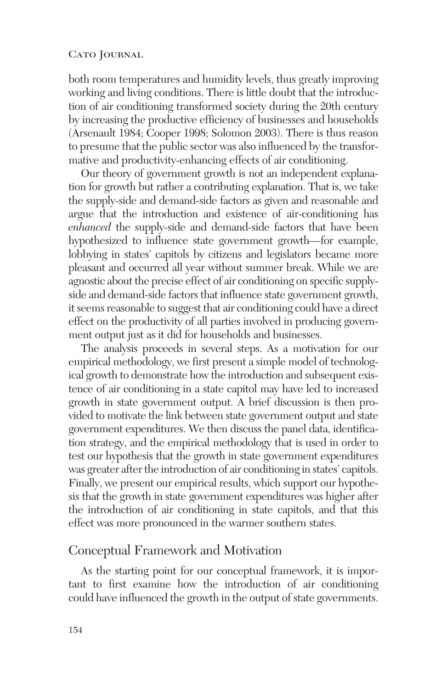both room temperatures and humidity levels, thus greatly improving working and living conditions. There is little doubt that the introduction of air conditioning transformed society during the 20th century by increasing the productive efficiency of businesses and households (Arsenault 1984; Cooper 1998; Solomon 2003). There is thus reason to presume that the public sector was also influenced by the transformative and productivity-enhancing effects of air conditioning.

Our theory of government growth is not an independent explanation for growth but rather a contributing explanation. That is, we take the supply-side and demand-side factors as given and reasonable and argue that the introduction and existence of air-conditioning has *enhanced* the supply-side and demand-side factors that have been hypothesized to influence state government growth—for example, lobbying in states' capitols by citizens and legislators became more pleasant and occurred all year without summer break. While we are agnostic about the precise effect of air conditioning on specific supplyside and demand-side factors that influence state government growth, it seems reasonable to suggest that air conditioning could have a direct effect on the productivity of all parties involved in producing government output just as it did for households and businesses.

The analysis proceeds in several steps. As a motivation for our empirical methodology, we first present a simple model of technological growth to demonstrate how the introduction and subsequent existence of air conditioning in a state capitol may have led to increased growth in state government output. A brief discussion is then provided to motivate the link between state government output and state government expenditures. We then discuss the panel data, identification strategy, and the empirical methodology that is used in order to test our hypothesis that the growth in state government expenditures was greater after the introduction of air conditioning in states' capitols. Finally, we present our empirical results, which support our hypothesis that the growth in state government expenditures was higher after the introduction of air conditioning in state capitols, and that this effect was more pronounced in the warmer southern states.

### Conceptual Framework and Motivation

As the starting point for our conceptual framework, it is important to first examine how the introduction of air conditioning could have influenced the growth in the output of state governments.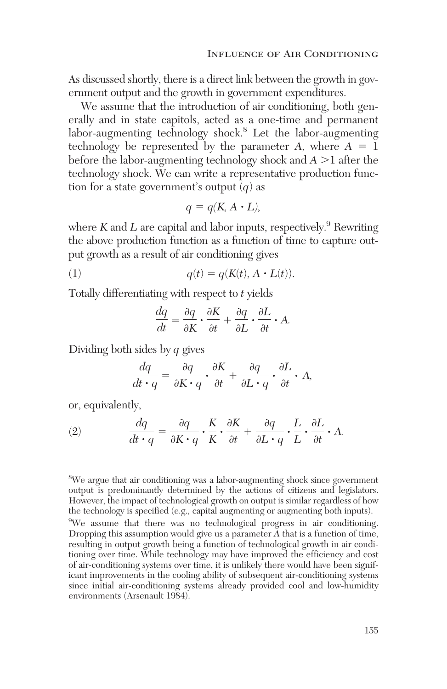As discussed shortly, there is a direct link between the growth in government output and the growth in government expenditures.

We assume that the introduction of air conditioning, both generally and in state capitols, acted as a one-time and permanent labor-augmenting technology shock.<sup>8</sup> Let the labor-augmenting technology be represented by the parameter  $A$ , where  $A = 1$ before the labor-augmenting technology shock and  $A > 1$  after the technology shock. We can write a representative production function for a state government's output (*q*) as

$$
q = q(K, A \cdot L),
$$

where  $K$  and  $L$  are capital and labor inputs, respectively.<sup>9</sup> Rewriting the above production function as a function of time to capture output growth as a result of air conditioning gives

(1) 
$$
q(t) = q(K(t), A \cdot L(t)).
$$

Totally differentiating with respect to *t* yields

$$
\frac{dq}{dt} = \frac{\partial q}{\partial K} \cdot \frac{\partial K}{\partial t} + \frac{\partial q}{\partial L} \cdot \frac{\partial L}{\partial t} \cdot A.
$$

Dividing both sides by *q* gives

$$
\frac{dq}{dt \cdot q} = \frac{\partial q}{\partial K \cdot q} \cdot \frac{\partial K}{\partial t} + \frac{\partial q}{\partial L \cdot q} \cdot \frac{\partial L}{\partial t} \cdot A,
$$

or, equivalently,

(2) 
$$
\frac{dq}{dt \cdot q} = \frac{\partial q}{\partial K \cdot q} \cdot \frac{K}{K} \cdot \frac{\partial K}{\partial t} + \frac{\partial q}{\partial L \cdot q} \cdot \frac{L}{L} \cdot \frac{\partial L}{\partial t} \cdot A.
$$

<sup>8</sup>We argue that air conditioning was a labor-augmenting shock since government output is predominantly determined by the actions of citizens and legislators. However, the impact of technological growth on output is similar regardless of how the technology is specified (e.g., capital augmenting or augmenting both inputs). <sup>9</sup>We assume that there was no technological progress in air conditioning. Dropping this assumption would give us a parameter *A* that is a function of time, resulting in output growth being a function of technological growth in air conditioning over time. While technology may have improved the efficiency and cost of air-conditioning systems over time, it is unlikely there would have been significant improvements in the cooling ability of subsequent air-conditioning systems since initial air-conditioning systems already provided cool and low-humidity environments (Arsenault 1984).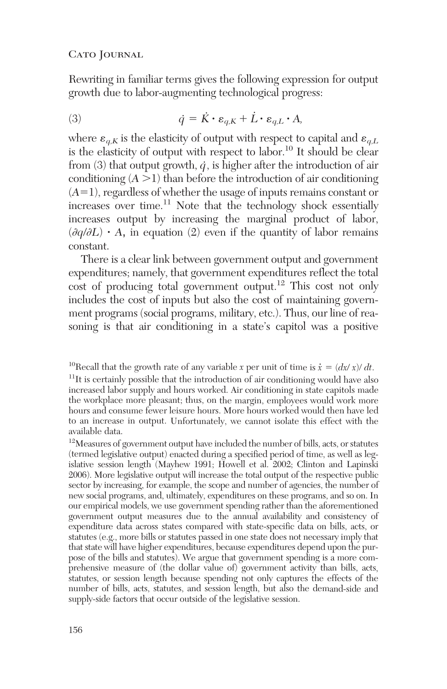Rewriting in familiar terms gives the following expression for output growth due to labor-augmenting technological progress:

(3) 
$$
\dot{q} = \dot{K} \cdot \varepsilon_{q,K} + \dot{L} \cdot \varepsilon_{q,L} \cdot A,
$$

where  $\varepsilon_{a,K}$  is the elasticity of output with respect to capital and  $\varepsilon_{a,L}$ is the elasticity of output with respect to labor.10 It should be clear from (3) that output growth,  $\dot{q}$ , is higher after the introduction of air conditioning  $(A > 1)$  than before the introduction of air conditioning (*A*-1), regardless of whether the usage of inputs remains constant or increases over time. $^{11}$  Note that the technology shock essentially increases output by increasing the marginal product of labor,  $\left(\frac{\partial q}{\partial L}\right) \cdot A$ , in equation (2) even if the quantity of labor remains constant.

There is a clear link between government output and government expenditures; namely, that government expenditures reflect the total cost of producing total government output.<sup>12</sup> This cost not only includes the cost of inputs but also the cost of maintaining government programs (social programs, military, etc.). Thus, our line of reasoning is that air conditioning in a state's capitol was a positive

<sup>&</sup>lt;sup>10</sup>Recall that the growth rate of any variable *x* per unit of time is  $\dot{x} = (dx/x)/dt$ .  $11$ It is certainly possible that the introduction of air conditioning would have also increased labor supply and hours worked. Air conditioning in state capitols made the workplace more pleasant; thus, on the margin, employees would work more hours and consume fewer leisure hours. More hours worked would then have led to an increase in output. Unfortunately, we cannot isolate this effect with the available data.

<sup>12</sup>Measures of government output have included the number of bills, acts, or statutes (termed legislative output) enacted during a specified period of time, as well as legislative session length (Mayhew 1991; Howell et al. 2002; Clinton and Lapinski 2006). More legislative output will increase the total output of the respective public sector by increasing, for example, the scope and number of agencies, the number of new social programs, and, ultimately, expenditures on these programs, and so on. In our empirical models, we use government spending rather than the aforementioned government output measures due to the annual availability and consistency of expenditure data across states compared with state-specific data on bills, acts, or statutes (e.g., more bills or statutes passed in one state does not necessary imply that that state will have higher expenditures, because expenditures depend upon the purpose of the bills and statutes). We argue that government spending is a more comprehensive measure of (the dollar value of) government activity than bills, acts, statutes, or session length because spending not only captures the effects of the number of bills, acts, statutes, and session length, but also the demand-side and supply-side factors that occur outside of the legislative session.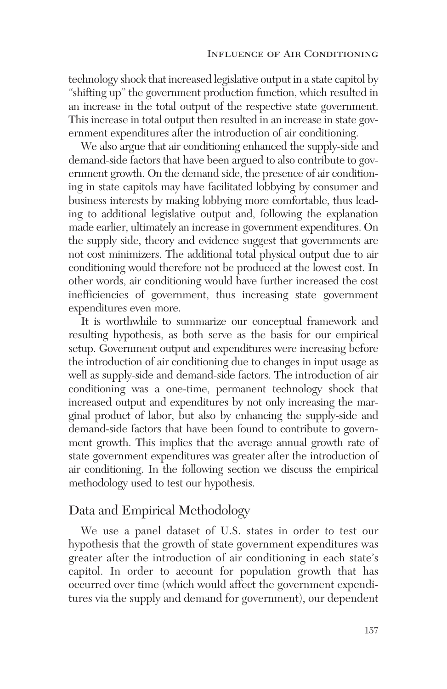technology shock that increased legislative output in a state capitol by "shifting up" the government production function, which resulted in an increase in the total output of the respective state government. This increase in total output then resulted in an increase in state government expenditures after the introduction of air conditioning.

We also argue that air conditioning enhanced the supply-side and demand-side factors that have been argued to also contribute to government growth. On the demand side, the presence of air conditioning in state capitols may have facilitated lobbying by consumer and business interests by making lobbying more comfortable, thus leading to additional legislative output and, following the explanation made earlier, ultimately an increase in government expenditures. On the supply side, theory and evidence suggest that governments are not cost minimizers. The additional total physical output due to air conditioning would therefore not be produced at the lowest cost. In other words, air conditioning would have further increased the cost inefficiencies of government, thus increasing state government expenditures even more.

It is worthwhile to summarize our conceptual framework and resulting hypothesis, as both serve as the basis for our empirical setup. Government output and expenditures were increasing before the introduction of air conditioning due to changes in input usage as well as supply-side and demand-side factors. The introduction of air conditioning was a one-time, permanent technology shock that increased output and expenditures by not only increasing the marginal product of labor, but also by enhancing the supply-side and demand-side factors that have been found to contribute to government growth. This implies that the average annual growth rate of state government expenditures was greater after the introduction of air conditioning. In the following section we discuss the empirical methodology used to test our hypothesis.

## Data and Empirical Methodology

We use a panel dataset of U.S. states in order to test our hypothesis that the growth of state government expenditures was greater after the introduction of air conditioning in each state's capitol. In order to account for population growth that has occurred over time (which would affect the government expenditures via the supply and demand for government), our dependent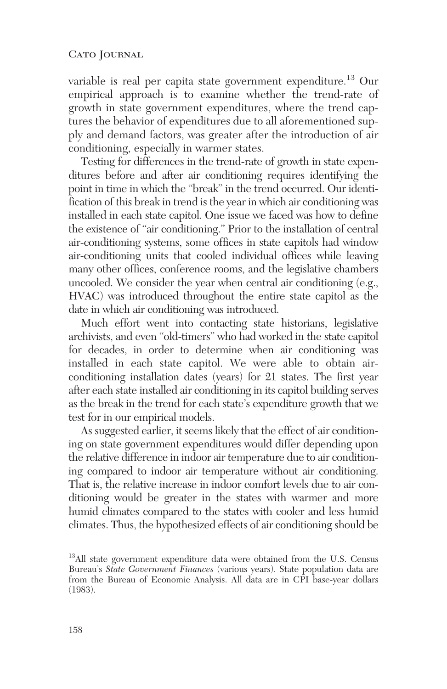variable is real per capita state government expenditure.<sup>13</sup> Our empirical approach is to examine whether the trend-rate of growth in state government expenditures, where the trend captures the behavior of expenditures due to all aforementioned supply and demand factors, was greater after the introduction of air conditioning, especially in warmer states.

Testing for differences in the trend-rate of growth in state expenditures before and after air conditioning requires identifying the point in time in which the "break" in the trend occurred. Our identification of this break in trend is the year in which air conditioning was installed in each state capitol. One issue we faced was how to define the existence of "air conditioning." Prior to the installation of central air-conditioning systems, some offices in state capitols had window air-conditioning units that cooled individual offices while leaving many other offices, conference rooms, and the legislative chambers uncooled. We consider the year when central air conditioning (e.g., HVAC) was introduced throughout the entire state capitol as the date in which air conditioning was introduced.

Much effort went into contacting state historians, legislative archivists, and even "old-timers" who had worked in the state capitol for decades, in order to determine when air conditioning was installed in each state capitol. We were able to obtain air conditioning installation dates (years) for 21 states. The first year after each state installed air conditioning in its capitol building serves as the break in the trend for each state's expenditure growth that we test for in our empirical models.

As suggested earlier, it seems likely that the effect of air conditioning on state government expenditures would differ depending upon the relative difference in indoor air temperature due to air conditioning compared to indoor air temperature without air conditioning. That is, the relative increase in indoor comfort levels due to air conditioning would be greater in the states with warmer and more humid climates compared to the states with cooler and less humid climates. Thus, the hypothesized effects of air conditioning should be

<sup>&</sup>lt;sup>13</sup>All state government expenditure data were obtained from the U.S. Census Bureau's *State Government Finances* (various years). State population data are from the Bureau of Economic Analysis. All data are in CPI base-year dollars (1983).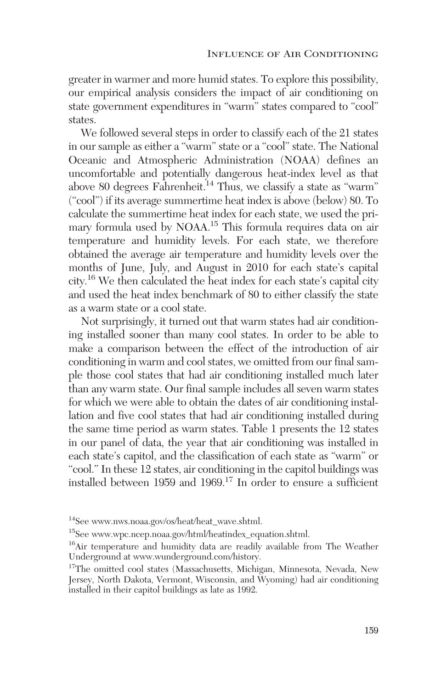greater in warmer and more humid states. To explore this possibility, our empirical analysis considers the impact of air conditioning on state government expenditures in "warm" states compared to "cool" states.

We followed several steps in order to classify each of the 21 states in our sample as either a "warm" state or a "cool" state. The National Oceanic and Atmospheric Administration (NOAA) defines an uncomfortable and potentially dangerous heat-index level as that above 80 degrees Fahrenheit.<sup>14</sup> Thus, we classify a state as "warm" ("cool") if its average summertime heat index is above (below) 80. To calculate the summertime heat index for each state, we used the primary formula used by NOAA.15 This formula requires data on air temperature and humidity levels. For each state, we therefore obtained the average air temperature and humidity levels over the months of June, July, and August in 2010 for each state's capital city.16 We then calculated the heat index for each state's capital city and used the heat index benchmark of 80 to either classify the state as a warm state or a cool state.

Not surprisingly, it turned out that warm states had air conditioning installed sooner than many cool states. In order to be able to make a comparison between the effect of the introduction of air conditioning in warm and cool states, we omitted from our final sample those cool states that had air conditioning installed much later than any warm state. Our final sample includes all seven warm states for which we were able to obtain the dates of air conditioning installation and five cool states that had air conditioning installed during the same time period as warm states. Table 1 presents the 12 states in our panel of data, the year that air conditioning was installed in each state's capitol, and the classification of each state as "warm" or "cool." In these 12 states, air conditioning in the capitol buildings was installed between 1959 and 1969.<sup>17</sup> In order to ensure a sufficient

<sup>14</sup>See www.nws.noaa.gov/os/heat/heat\_wave.shtml.

<sup>15</sup>See www.wpc.ncep.noaa.gov/html/heatindex\_equation.shtml.

<sup>16</sup>Air temperature and humidity data are readily available from The Weather Underground at www.wunderground.com/history.

<sup>&</sup>lt;sup>17</sup>The omitted cool states (Massachusetts, Michigan, Minnesota, Nevada, New Jersey, North Dakota, Vermont, Wisconsin, and Wyoming) had air conditioning installed in their capitol buildings as late as 1992.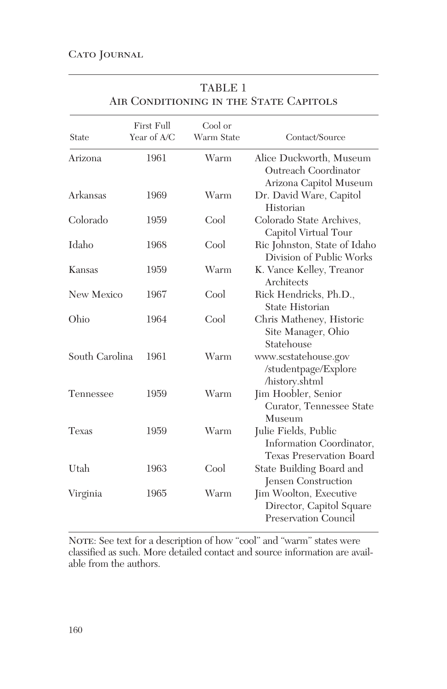| State          | First Full<br>Year of A/C | Cool or<br>Warm State | Contact/Source                                                                      |
|----------------|---------------------------|-----------------------|-------------------------------------------------------------------------------------|
| Arizona        | 1961                      | Warm                  | Alice Duckworth, Museum<br>Outreach Coordinator<br>Arizona Capitol Museum           |
| Arkansas       | 1969                      | Warm                  | Dr. David Ware, Capitol<br>Historian                                                |
| Colorado       | 1959                      | Cool                  | Colorado State Archives,<br>Capitol Virtual Tour                                    |
| Idaho          | 1968                      | Cool                  | Ric Johnston, State of Idaho<br>Division of Public Works                            |
| Kansas         | 1959                      | Warm                  | K. Vance Kelley, Treanor<br>Architects                                              |
| New Mexico     | 1967                      | Cool                  | Rick Hendricks, Ph.D.,<br>State Historian                                           |
| Ohio           | 1964                      | Cool                  | Chris Matheney, Historic<br>Site Manager, Ohio<br>Statehouse                        |
| South Carolina | 1961                      | Warm                  | www.scstatehouse.gov<br>/studentpage/Explore<br>/history.shtml                      |
| Tennessee      | 1959                      | Warm                  | Jim Hoobler, Senior<br>Curator, Tennessee State<br>Museum                           |
| Texas          | 1959                      | Warm                  | Julie Fields, Public<br>Information Coordinator,<br><b>Texas Preservation Board</b> |
| Utah           | 1963                      | Cool                  | State Building Board and<br>Jensen Construction                                     |
| Virginia       | 1965                      | Warm                  | Jim Woolton, Executive<br>Director, Capitol Square<br><b>Preservation Council</b>   |

TABLE 1 AIR CONDITIONING IN THE STATE CAPITOLS

NOTE: See text for a description of how "cool" and "warm" states were classified as such. More detailed contact and source information are available from the authors.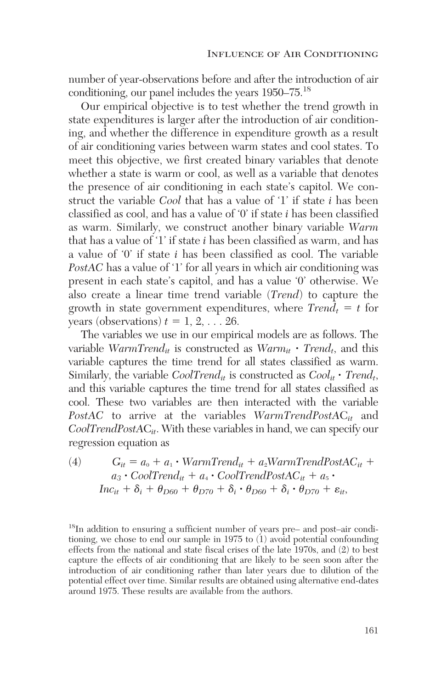number of year-observations before and after the introduction of air conditioning, our panel includes the years 1950–75.18

Our empirical objective is to test whether the trend growth in state expenditures is larger after the introduction of air conditioning, and whether the difference in expenditure growth as a result of air conditioning varies between warm states and cool states. To meet this objective, we first created binary variables that denote whether a state is warm or cool, as well as a variable that denotes the presence of air conditioning in each state's capitol. We construct the variable *Cool* that has a value of '1' if state *i* has been classified as cool, and has a value of '0' if state *i* has been classified as warm. Similarly, we construct another binary variable *Warm* that has a value of '1' if state *i* has been classified as warm, and has a value of '0' if state *i* has been classified as cool. The variable *PostAC* has a value of '1' for all years in which air conditioning was present in each state's capitol, and has a value '0' otherwise. We also create a linear time trend variable (*Trend*) to capture the growth in state government expenditures, where  $Trend_t = t$  for years (observations)  $t = 1, 2, \ldots 26$ .

The variables we use in our empirical models are as follows. The variable  $WarmTrend_{it}$  is constructed as  $Warm_{it} \cdot Trend_{t}$ , and this variable captures the time trend for all states classified as warm. Similarly, the variable  $CoolTrend_{it}$  is constructed as  $Cool_{it} \cdot Trend_{t}$ , and this variable captures the time trend for all states classified as cool. These two variables are then interacted with the variable *PostAC* to arrive at the variables *WarmTrendPostA*C*it* and *CoolTrendPostA*C*it*. With these variables in hand, we can specify our regression equation as

(4) 
$$
G_{it} = a_0 + a_1 \cdot WarmTrend_{it} + a_2 WarmTrendPostAC_{it} + a_3 \cdot CoolTrend_{it} + a_4 \cdot CoolTrendPostAC_{it} + a_5 \cdot Inc_{it} + \delta_i + \theta_{D60} + \theta_{D70} + \delta_i \cdot \theta_{D60} + \delta_i \cdot \theta_{D70} + \varepsilon_{it},
$$

18In addition to ensuring a sufficient number of years pre– and post–air conditioning, we chose to end our sample in 1975 to (1) avoid potential confounding effects from the national and state fiscal crises of the late 1970s, and (2) to best capture the effects of air conditioning that are likely to be seen soon after the introduction of air conditioning rather than later years due to dilution of the potential effect over time. Similar results are obtained using alternative end-dates around 1975. These results are available from the authors.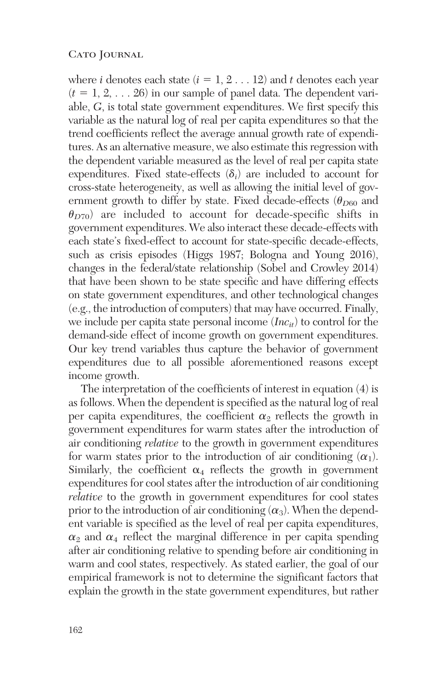where *i* denotes each state  $(i = 1, 2...12)$  and *t* denotes each year  $(t = 1, 2, \ldots 26)$  in our sample of panel data. The dependent variable, *G*, is total state government expenditures. We first specify this variable as the natural log of real per capita expenditures so that the trend coefficients reflect the average annual growth rate of expenditures. As an alternative measure, we also estimate this regression with the dependent variable measured as the level of real per capita state expenditures. Fixed state-effects  $(\delta_i)$  are included to account for cross-state heterogeneity, as well as allowing the initial level of government growth to differ by state. Fixed decade-effects  $(\theta_{D60})$  and  $\theta_{D70}$ ) are included to account for decade-specific shifts in government expenditures. We also interact these decade-effects with each state's fixed-effect to account for state-specific decade-effects, such as crisis episodes (Higgs 1987; Bologna and Young 2016), changes in the federal/state relationship (Sobel and Crowley 2014) that have been shown to be state specific and have differing effects on state government expenditures, and other technological changes (e.g., the introduction of computers) that may have occurred. Finally, we include per capita state personal income (*Incit*) to control for the demand-side effect of income growth on government expenditures. Our key trend variables thus capture the behavior of government expenditures due to all possible aforementioned reasons except income growth.

The interpretation of the coefficients of interest in equation (4) is as follows. When the dependent is specified as the natural log of real per capita expenditures, the coefficient  $\alpha_2$  reflects the growth in government expenditures for warm states after the introduction of air conditioning *relative* to the growth in government expenditures for warm states prior to the introduction of air conditioning  $(\alpha_1)$ . Similarly, the coefficient  $\alpha_4$  reflects the growth in government expenditures for cool states after the introduction of air conditioning *relative* to the growth in government expenditures for cool states prior to the introduction of air conditioning  $(\alpha_3)$ . When the dependent variable is specified as the level of real per capita expenditures,  $\alpha_2$  and  $\alpha_4$  reflect the marginal difference in per capita spending after air conditioning relative to spending before air conditioning in warm and cool states, respectively. As stated earlier, the goal of our empirical framework is not to determine the significant factors that explain the growth in the state government expenditures, but rather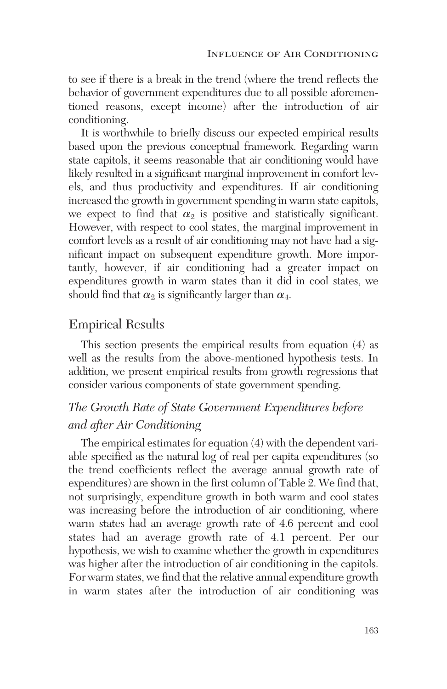to see if there is a break in the trend (where the trend reflects the behavior of government expenditures due to all possible aforementioned reasons, except income) after the introduction of air conditioning.

It is worthwhile to briefly discuss our expected empirical results based upon the previous conceptual framework. Regarding warm state capitols, it seems reasonable that air conditioning would have likely resulted in a significant marginal improvement in comfort levels, and thus productivity and expenditures. If air conditioning increased the growth in government spending in warm state capitols, we expect to find that  $\alpha_2$  is positive and statistically significant. However, with respect to cool states, the marginal improvement in comfort levels as a result of air conditioning may not have had a significant impact on subsequent expenditure growth. More importantly, however, if air conditioning had a greater impact on expenditures growth in warm states than it did in cool states, we should find that  $\alpha_2$  is significantly larger than  $\alpha_4$ .

### Empirical Results

This section presents the empirical results from equation (4) as well as the results from the above-mentioned hypothesis tests. In addition, we present empirical results from growth regressions that consider various components of state government spending.

## *The Growth Rate of State Government Expenditures before and after Air Conditioning*

The empirical estimates for equation (4) with the dependent variable specified as the natural log of real per capita expenditures (so the trend coefficients reflect the average annual growth rate of expenditures) are shown in the first column of Table 2. We find that, not surprisingly, expenditure growth in both warm and cool states was increasing before the introduction of air conditioning, where warm states had an average growth rate of 4.6 percent and cool states had an average growth rate of 4.1 percent. Per our hypothesis, we wish to examine whether the growth in expenditures was higher after the introduction of air conditioning in the capitols. For warm states, we find that the relative annual expenditure growth in warm states after the introduction of air conditioning was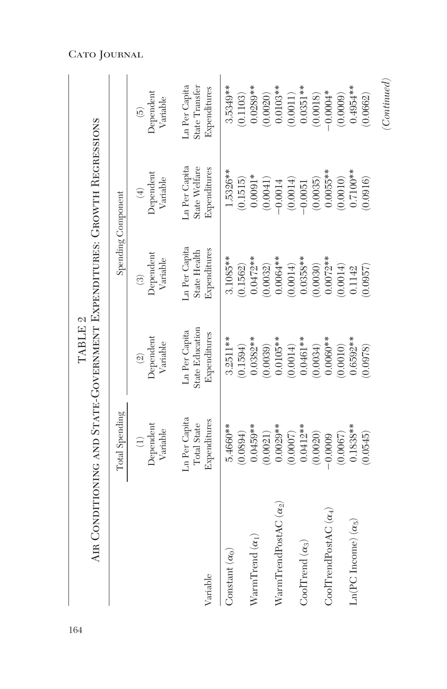|                                                         | AIR CONDITIONING AND STATE-GOVERNMENT EXPENDITURES: GROWTH REGRESSIONS | TABLE <sub>2</sub>                                |                                  |                                                     |                                                   |
|---------------------------------------------------------|------------------------------------------------------------------------|---------------------------------------------------|----------------------------------|-----------------------------------------------------|---------------------------------------------------|
|                                                         | Total Spending                                                         |                                                   | Spending Component               |                                                     |                                                   |
|                                                         | Dependent<br>Variable                                                  | Dependent<br>Variable<br>$\widehat{\mathfrak{A}}$ | Dependent<br>Variable<br>$\odot$ | Dependent<br>Variable<br>$\left(\frac{1}{2}\right)$ | Dependent<br>Variable<br>$\widehat{\mathfrak{g}}$ |
| Variable                                                | .n Per Capita                                                          | State Education                                   | Ln Per Capita                    | Ln Per Capita                                       | State Transfer                                    |
|                                                         | Expenditures                                                           | Ln Per Capita                                     | Expenditures                     | State Welfare                                       | Ln Per Capita                                     |
|                                                         | Total State                                                            | Expenditures                                      | State Health                     | Expenditures                                        | Expenditures                                      |
| Constant $(\alpha_0)$                                   | 5.4660**                                                               | $3.2511***$                                       | 3.1085**                         | 1.5326**                                            | 3.5349**                                          |
|                                                         | (0.0894)                                                               | (0.1594)                                          | (0.1562)                         | (0.1515)                                            | (0.1103)                                          |
| ${\rm WarmTrend\,}(\alpha_1)$                           | $0.0459***$                                                            | $0.0382**$                                        | $0.0472**$                       | $0.0091*$                                           | $0.0289**$                                        |
|                                                         | (0.0021)                                                               | (0.0039)                                          | (0.0032)                         | (0.0041)                                            | (0.0020)                                          |
| $\operatorname{WarmTrendPostAC}\left(\alpha_{2}\right)$ | $0.0029**$                                                             | $0.0105**$                                        | $0.0064**$                       | (0.0014)                                            | $0.0103**$                                        |
|                                                         | (0.0007)                                                               | (0.0014)                                          | (0.0014)                         | $-0.0014$                                           | (0.0011)                                          |
| CoolTrend $(\alpha_3)$                                  | $0.0412***$                                                            | $0.0461**$                                        | 0.0358**                         | (0.0035)                                            | $0.0351**$                                        |
|                                                         | (0.0020)                                                               | (0.0034)                                          | 0.0030)                          | $-0.0051$                                           | (0.0018)                                          |
| $CoolTrendPostAC(\alpha_4)$                             | (0.0067)                                                               | $0.0060**$                                        | $0.0072***$                      | $0.0055***$                                         | $0.0004*$                                         |
|                                                         | $-0.0009$                                                              | 0.0010)                                           | (0.0014)                         | (0.0010)                                            | (0.0009)                                          |
| $Ln(PC$ Income) $(\alpha_5)$                            | $0.1838***$                                                            | 1.6592**                                          | 0.0957                           | $0.7100**$                                          | $0.4954***$                                       |
|                                                         | (0.0545)                                                               | 0.0978)                                           | 0.1142                           | (0.0916)                                            | 0.0662                                            |
|                                                         |                                                                        |                                                   |                                  |                                                     | (Continued)                                       |

## Cato Journal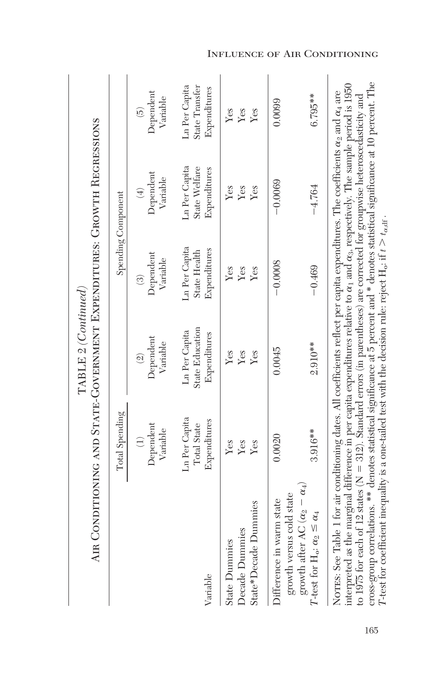|                                                                                                                                                                                                                                                                                                                                                                                                                                                                                                                                                                                                                                                                                                           | AIR CONDITIONING AND STATE-GOVERNMENT EXPENDITURES: GROWTH REGRESSIONS | $\mathrm{TABLE}$ 2 (Continued)                          |                                                      |                                                |                                                 |
|-----------------------------------------------------------------------------------------------------------------------------------------------------------------------------------------------------------------------------------------------------------------------------------------------------------------------------------------------------------------------------------------------------------------------------------------------------------------------------------------------------------------------------------------------------------------------------------------------------------------------------------------------------------------------------------------------------------|------------------------------------------------------------------------|---------------------------------------------------------|------------------------------------------------------|------------------------------------------------|-------------------------------------------------|
|                                                                                                                                                                                                                                                                                                                                                                                                                                                                                                                                                                                                                                                                                                           | Total Spending                                                         |                                                         |                                                      | Spending Component                             |                                                 |
|                                                                                                                                                                                                                                                                                                                                                                                                                                                                                                                                                                                                                                                                                                           | Dependent<br>Variable<br>$\widehat{\Xi}$                               | Dependent<br>Variable<br>$\widehat{\mathfrak{A}}$       | Dependent<br>Variable<br>$\widehat{\odot}$           | Dependent<br>Variable<br>$\bigoplus$           | Dependent<br>Variable<br>$\widetilde{\omega}$   |
| Variable                                                                                                                                                                                                                                                                                                                                                                                                                                                                                                                                                                                                                                                                                                  | Ln Per Capita<br>Expenditures<br>Total State                           | <b>State Education</b><br>Ln Per Capita<br>Expenditures | Ln Per Capita<br>Expenditures<br><b>State Health</b> | Ln Per Capita<br>State Welfare<br>Expenditures | State Transfer<br>Ln Per Capita<br>Expenditures |
| State*Decade Dummies<br>Decade Dummies<br><b>State Dummies</b>                                                                                                                                                                                                                                                                                                                                                                                                                                                                                                                                                                                                                                            | Yes<br>Yes<br>Yes                                                      | Yes<br>Yes<br>Yes                                       | Yes<br>Yes<br>Yes                                    | Yes<br>Yes<br>Yes                              | Yes<br>Yes<br>Yes                               |
| growth after AC $(\alpha_2 - \alpha_4)$<br>growth versus cold state<br>Difference in warm state<br>T-test for $H_0$ ; $\alpha_2 \leq \alpha_4$                                                                                                                                                                                                                                                                                                                                                                                                                                                                                                                                                            | 3.916**<br>0.0020                                                      | $2.910**$<br>0.0045                                     | $-0.0008$<br>$-0.469$                                | $-0.0069$<br>$-4.764$                          | $6.795**$<br>0.0099                             |
| cross-group correlations. ** denotes statistical significance at 5 percent and * denotes statistical significance at 10 percent. The<br>interpreted as the marginal difference in per capita expenditures relative to $\alpha_1$ and $\alpha_3$ , respectively. The sample period is 1950<br>NOTES: See Table 1 for air conditioning dates. All coefficients reflect per capita expenditures. The coefficients $\alpha_2$ and $\alpha_4$ are<br>to 1975 for each of 12 states ( $N = 312$ ). Standard errors (in parentheses) are corrected for groupwise heteroscedasticity and<br>T-test for coefficient inequality is a one-tailed test with the decision rule: reject $H_o$ , if $t > t_{\alpha,d}$ . |                                                                        |                                                         |                                                      |                                                |                                                 |

Influence of Air Conditioning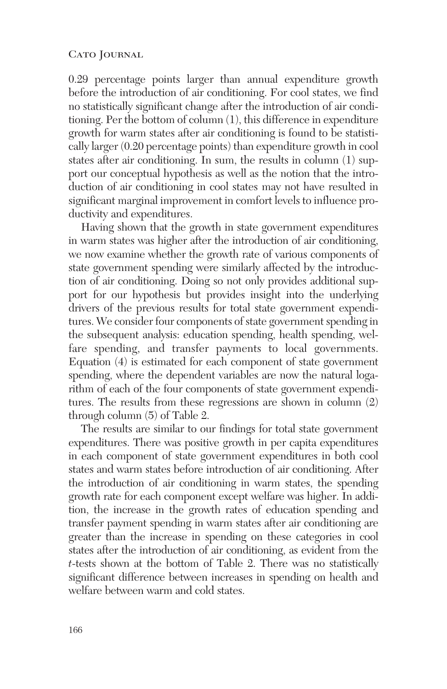0.29 percentage points larger than annual expenditure growth before the introduction of air conditioning. For cool states, we find no statistically significant change after the introduction of air conditioning. Per the bottom of column (1), this difference in expenditure growth for warm states after air conditioning is found to be statistically larger (0.20 percentage points) than expenditure growth in cool states after air conditioning. In sum, the results in column (1) support our conceptual hypothesis as well as the notion that the introduction of air conditioning in cool states may not have resulted in significant marginal improvement in comfort levels to influence productivity and expenditures.

Having shown that the growth in state government expenditures in warm states was higher after the introduction of air conditioning, we now examine whether the growth rate of various components of state government spending were similarly affected by the introduction of air conditioning. Doing so not only provides additional support for our hypothesis but provides insight into the underlying drivers of the previous results for total state government expenditures. We consider four components of state government spending in the subsequent analysis: education spending, health spending, welfare spending, and transfer payments to local governments. Equation (4) is estimated for each component of state government spending, where the dependent variables are now the natural logarithm of each of the four components of state government expenditures. The results from these regressions are shown in column (2) through column (5) of Table 2.

The results are similar to our findings for total state government expenditures. There was positive growth in per capita expenditures in each component of state government expenditures in both cool states and warm states before introduction of air conditioning. After the introduction of air conditioning in warm states, the spending growth rate for each component except welfare was higher. In addition, the increase in the growth rates of education spending and transfer payment spending in warm states after air conditioning are greater than the increase in spending on these categories in cool states after the introduction of air conditioning, as evident from the *t*-tests shown at the bottom of Table 2. There was no statistically significant difference between increases in spending on health and welfare between warm and cold states.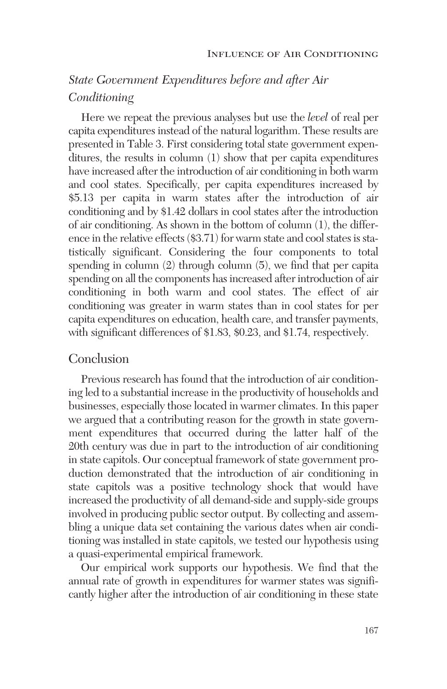## *State Government Expenditures before and after Air Conditioning*

Here we repeat the previous analyses but use the *level* of real per capita expenditures instead of the natural logarithm. These results are presented in Table 3. First considering total state government expenditures, the results in column (1) show that per capita expenditures have increased after the introduction of air conditioning in both warm and cool states. Specifically, per capita expenditures increased by \$5.13 per capita in warm states after the introduction of air conditioning and by \$1.42 dollars in cool states after the introduction of air conditioning. As shown in the bottom of column (1), the difference in the relative effects (\$3.71) for warm state and cool states is statistically significant. Considering the four components to total spending in column (2) through column (5), we find that per capita spending on all the components has increased after introduction of air conditioning in both warm and cool states. The effect of air conditioning was greater in warm states than in cool states for per capita expenditures on education, health care, and transfer payments, with significant differences of \$1.83, \$0.23, and \$1.74, respectively.

### Conclusion

Previous research has found that the introduction of air conditioning led to a substantial increase in the productivity of households and businesses, especially those located in warmer climates. In this paper we argued that a contributing reason for the growth in state government expenditures that occurred during the latter half of the 20th century was due in part to the introduction of air conditioning in state capitols. Our conceptual framework of state government production demonstrated that the introduction of air conditioning in state capitols was a positive technology shock that would have increased the productivity of all demand-side and supply-side groups involved in producing public sector output. By collecting and assembling a unique data set containing the various dates when air conditioning was installed in state capitols, we tested our hypothesis using a quasi-experimental empirical framework.

Our empirical work supports our hypothesis. We find that the annual rate of growth in expenditures for warmer states was significantly higher after the introduction of air conditioning in these state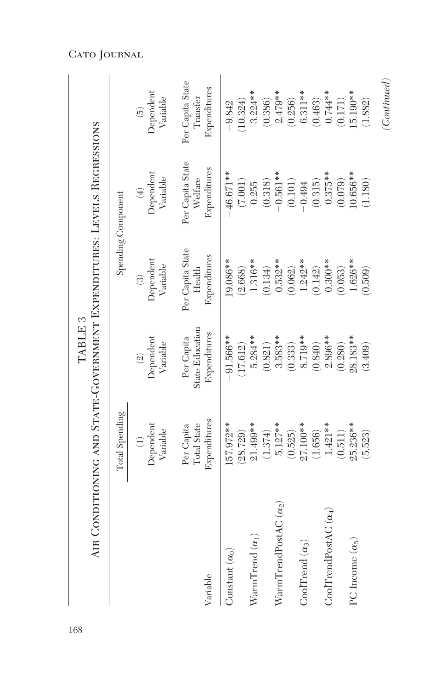|                                                         | AIR CONDITIONING AND STATE-GOVERNMENT EXPENDITURES: LEVELS REGRESSIONS | TABLE <sub>3</sub>                     |                                  |                                    |                                               |
|---------------------------------------------------------|------------------------------------------------------------------------|----------------------------------------|----------------------------------|------------------------------------|-----------------------------------------------|
|                                                         | Total Spending                                                         |                                        |                                  | Spending Component                 |                                               |
|                                                         | Dependent<br>Variable                                                  | Dependent<br>Variable<br>$\widehat{2}$ | Dependent<br>Variable<br>$\odot$ | Dependent<br>Variable<br>$\tag{4}$ | Dependent<br>Variable<br>$\widetilde{\omega}$ |
| Variable                                                | Expenditures                                                           | State Education                        | Per Capita State                 | Per Capita State                   | Per Capita State                              |
|                                                         | Total State                                                            | Expenditures                           | Expenditures                     | Expenditures                       | Expenditures                                  |
|                                                         | Per Capita                                                             | Per Capita                             | Health                           | Welfare                            | Transfer                                      |
| Constant $(\alpha_0)$                                   | 57.972**                                                               | $-91.566***$                           | 19.086**                         | $-46.671**$                        | 10.324)                                       |
|                                                         | (28.729)                                                               | (17.612)                               | (2.668)                          | (7.001)                            | $-9.842$                                      |
| WarmTrend $(\alpha_1)$                                  | 21.499**                                                               | 5.284 **                               | 1.316**                          | (0.318)                            | $3.224***$                                    |
|                                                         | (1.374)                                                                | (0.821)                                | (0.134)                          | 0.255                              | (0.386)                                       |
| $\operatorname{WarmTrendPostAC}\left(\alpha_{2}\right)$ | $5.127***$                                                             | $3.583**$                              | $0.532**$                        | $-0.561**$                         | $2.479**$                                     |
|                                                         | (0.525)                                                                | (0.333)                                | (0.062)                          | $\left(0.101\right)$               | (0.256)                                       |
| CoolTrend $(\alpha_3)$                                  | 27.100**                                                               | 8.719**                                | $1.242**$                        | (0.315)                            | $6.311***$                                    |
|                                                         | (1.656)                                                                | (0.840)                                | (0.142)                          | $-0.494$                           | (0.463)                                       |
| $CoolTrendPostAC \ (a_4)$                               | $1.421**$                                                              | $2.896**$                              | $0.300**$                        | $0.375***$                         | $0.744***$                                    |
|                                                         | (0.511)                                                                | (0.280)                                | (0.053)                          | (0.079)                            | (0.171)                                       |
| PC Income $(\alpha_5)$                                  | 25.236**                                                               | 28.183**                               | 1.626**                          | $10.656**$                         | $5.190**$                                     |
|                                                         | (5.523)                                                                | (3.409)                                | (0.509)                          | (1.180)                            | (1.882)                                       |
|                                                         |                                                                        |                                        |                                  |                                    | (Continued)                                   |

Cato Journal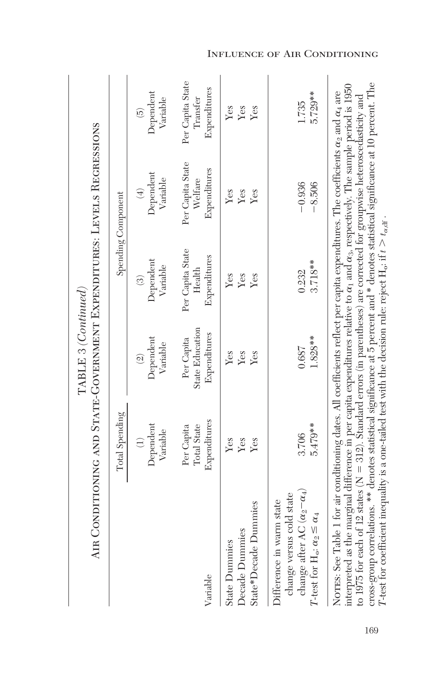|                                                                                                                                                                                                                                                                                                                                                                                                                                                                                                                                                                                                                                                                                                            |                                           | TABLE 3 (Continued)                               |                                            | AIR CONDITIONING AND STATE-GOVERNMENT EXPENDITURES: LEVELS REGRESSIONS |                                              |
|------------------------------------------------------------------------------------------------------------------------------------------------------------------------------------------------------------------------------------------------------------------------------------------------------------------------------------------------------------------------------------------------------------------------------------------------------------------------------------------------------------------------------------------------------------------------------------------------------------------------------------------------------------------------------------------------------------|-------------------------------------------|---------------------------------------------------|--------------------------------------------|------------------------------------------------------------------------|----------------------------------------------|
|                                                                                                                                                                                                                                                                                                                                                                                                                                                                                                                                                                                                                                                                                                            | Total Spending                            |                                                   |                                            | Spending Component                                                     |                                              |
|                                                                                                                                                                                                                                                                                                                                                                                                                                                                                                                                                                                                                                                                                                            | Dependent<br>Variable<br>$\bigoplus$      | Dependent<br>Variable<br>$\widehat{\mathfrak{A}}$ | Dependent<br>Variable<br>$\odot$           | Dependent<br>Variable<br>$\bigoplus$                                   | Dependent<br>Variable<br>$\widehat{5}$       |
| Variable                                                                                                                                                                                                                                                                                                                                                                                                                                                                                                                                                                                                                                                                                                   | Expenditures<br>Total State<br>Per Capita | State Education<br>Expenditures<br>Per Capita     | Per Capita State<br>Expenditures<br>Health | Per Capita State<br>Expenditures<br>Welfare                            | Per Capita State<br>Expenditures<br>Transfer |
| State*Decade Dummies<br>Decade Dummies<br><b>State Dummies</b>                                                                                                                                                                                                                                                                                                                                                                                                                                                                                                                                                                                                                                             | Yes<br>Yes<br>Yes                         | Yes<br>Yes<br>Yes                                 | Yes<br>Yes<br>Yes                          | Yes<br>Yes<br>Yes                                                      | Yes<br>Yes<br>Yes                            |
| change after AC $(\alpha_2 - \alpha_4)$<br>change versus cold state<br>Difference in warm state<br>T-test for $H_o$ : $\alpha_2 \leq \alpha_4$                                                                                                                                                                                                                                                                                                                                                                                                                                                                                                                                                             | $5.479**$<br>3.706                        | 1.828**<br>0.687                                  | 3.718**<br>0.232                           | $-0.936$<br>$-8.506$                                                   | 5.729**<br>1.735                             |
| cross-group correlations. ** denotes statistical significance at 5 percent and * denotes statistical significance at 10 percent. The<br>interpreted as the marginal difference in per capita expenditures relative to $\alpha_1$ and $\alpha_3$ , respectively. The sample period is 1950<br>NOTES: See Table 1 for air conditioning dates. All coefficients reflect per capita expenditures. The coefficients $\alpha_2$ and $\alpha_4$ are<br>to 1975 for each of 12 states ( $N = 312$ ). Standard errors (in parentheses) are corrected for groupwise heteroscedasticity and<br>T-test for coefficient inequality is a one-tailed test with the decision rule: reject $H_o$ : if $t > t_{\alpha, d}$ . |                                           |                                                   |                                            |                                                                        |                                              |

Influence of Air Conditioning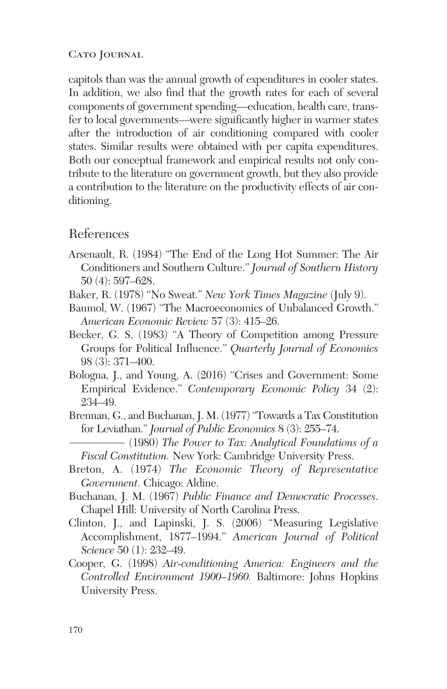capitols than was the annual growth of expenditures in cooler states. In addition, we also find that the growth rates for each of several components of government spending—education, health care, transfer to local governments—were significantly higher in warmer states after the introduction of air conditioning compared with cooler states. Similar results were obtained with per capita expenditures. Both our conceptual framework and empirical results not only contribute to the literature on government growth, but they also provide a contribution to the literature on the productivity effects of air conditioning.

## References

- Arsenault, R. (1984) "The End of the Long Hot Summer: The Air Conditioners and Southern Culture." *Journal of Southern History* 50 (4): 597–628.
- Baker, R. (1978) "No Sweat." *New York Times Magazine* (July 9).
- Baumol, W. (1967) "The Macroeconomics of Unbalanced Growth." *American Economic Review* 57 (3): 415–26.
- Becker, G. S. (1983) "A Theory of Competition among Pressure Groups for Political Influence." *Quarterly Journal of Economics* 98 (3): 371–400.
- Bologna, J., and Young, A. (2016) "Crises and Government: Some Empirical Evidence." *Contemporary Economic Policy* 34 (2): 234–49.
- Brennan, G., and Buchanan, J. M. (1977) "Towards a Tax Constitution for Leviathan." *Journal of Public Economics* 8 (3): 255–74.

(1980) *The Power to Tax: Analytical Foundations of a Fiscal Constitution.* New York: Cambridge University Press.

- Breton, A. (1974) *The Economic Theory of Representative Government.* Chicago: Aldine.
- Buchanan, J. M. (1967) *Public Finance and Democratic Processes*. Chapel Hill: University of North Carolina Press.
- Clinton, J., and Lapinski, J. S. (2006) "Measuring Legislative Accomplishment, 1877–1994." *American Journal of Political Science* 50 (1): 232–49.
- Cooper, G. (1998) *Air-conditioning America: Engineers and the Controlled Environment 1900–1960.* Baltimore: Johns Hopkins University Press.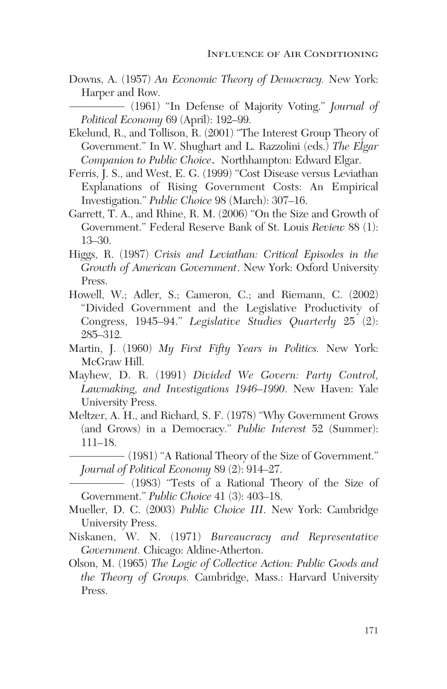Downs, A. (1957) *An Economic Theory of Democracy.* New York: Harper and Row.

(1961) "In Defense of Majority Voting." *Journal of Political Economy* 69 (April): 192–99.

- Ekelund, R., and Tollison, R. (2001) "The Interest Group Theory of Government." In W. Shughart and L. Razzolini (eds.) *The Elgar Companion to Public Choice.* Northhampton: Edward Elgar.
- Ferris, J. S., and West, E. G. (1999) "Cost Disease versus Leviathan Explanations of Rising Government Costs: An Empirical Investigation." *Public Choice* 98 (March): 307–16.
- Garrett, T. A., and Rhine, R. M. (2006) "On the Size and Growth of Government." Federal Reserve Bank of St. Louis *Review* 88 (1): 13–30.
- Higgs, R. (1987) *Crisis and Leviathan: Critical Episodes in the Growth of American Government*. New York: Oxford University Press.
- Howell, W.; Adler, S.; Cameron, C.; and Riemann, C. (2002) "Divided Government and the Legislative Productivity of Congress, 1945–94." *Legislative Studies Quarterly* 25 (2): 285–312.
- Martin, J. (1960) *My First Fifty Years in Politics.* New York: McGraw Hill.
- Mayhew, D. R. (1991) *Divided We Govern: Party Control, Lawmaking, and Investigations 1946–1990*. New Haven: Yale University Press.
- Meltzer, A. H., and Richard, S. F. (1978) "Why Government Grows (and Grows) in a Democracy." *Public Interest* 52 (Summer): 111–18.
	- (1981) "A Rational Theory of the Size of Government." *Journal of Political Economy* 89 (2): 914–27.

(1983) "Tests of a Rational Theory of the Size of Government." *Public Choice* 41 (3): 403–18.

- Mueller, D. C. (2003) *Public Choice III*. New York: Cambridge University Press.
- Niskanen, W. N. (1971) *Bureaucracy and Representative Government.* Chicago: Aldine-Atherton.
- Olson, M. (1965) *The Logic of Collective Action: Public Goods and the Theory of Groups.* Cambridge, Mass.: Harvard University Press.